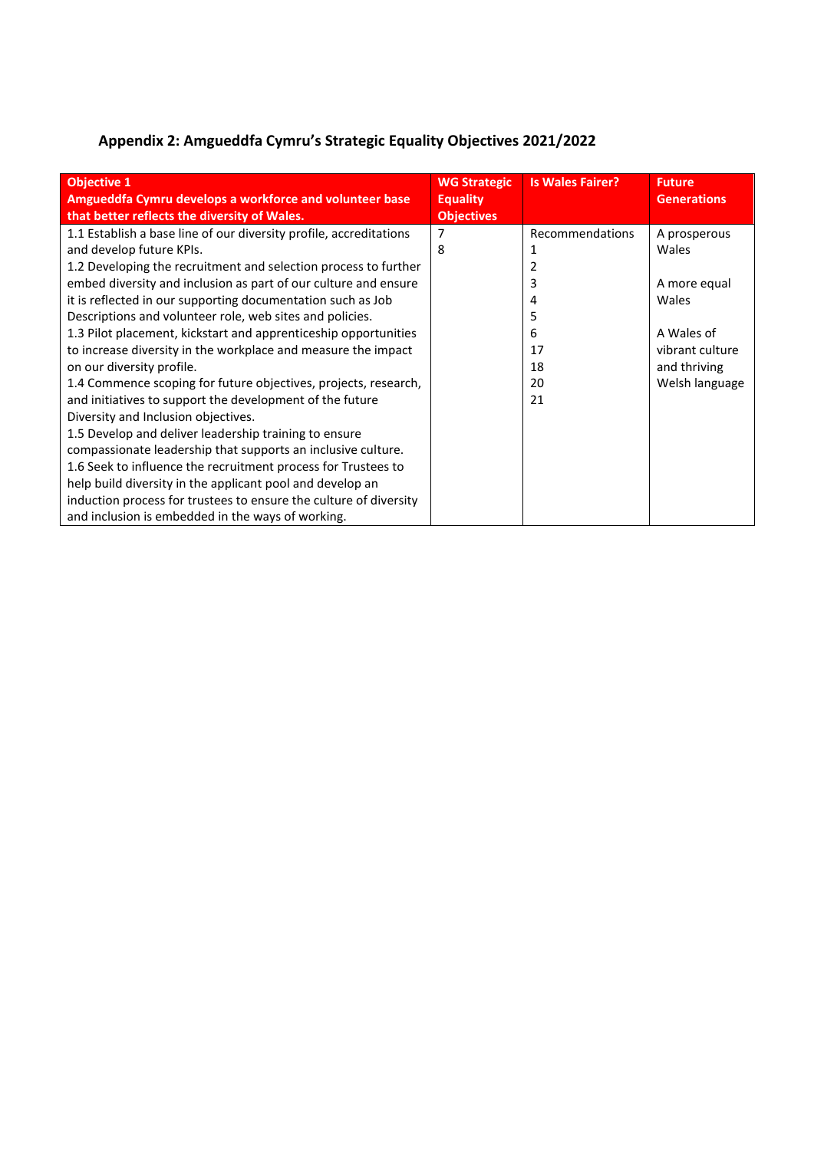## **Appendix 2: Amgueddfa Cymru's Strategic Equality Objectives 2021/2022**

| <b>Objective 1</b><br>Amgueddfa Cymru develops a workforce and volunteer base<br>that better reflects the diversity of Wales. | <b>WG Strategic</b><br><b>Equality</b><br><b>Objectives</b> | <b>Is Wales Fairer?</b> | <b>Future</b><br><b>Generations</b> |
|-------------------------------------------------------------------------------------------------------------------------------|-------------------------------------------------------------|-------------------------|-------------------------------------|
| 1.1 Establish a base line of our diversity profile, accreditations                                                            |                                                             | Recommendations         | A prosperous                        |
| and develop future KPIs.                                                                                                      | 8                                                           |                         | Wales                               |
| 1.2 Developing the recruitment and selection process to further                                                               |                                                             |                         |                                     |
| embed diversity and inclusion as part of our culture and ensure                                                               |                                                             |                         | A more equal                        |
| it is reflected in our supporting documentation such as Job                                                                   |                                                             | 4                       | Wales                               |
| Descriptions and volunteer role, web sites and policies.                                                                      |                                                             | 5                       |                                     |
| 1.3 Pilot placement, kickstart and apprenticeship opportunities                                                               |                                                             | 6                       | A Wales of                          |
| to increase diversity in the workplace and measure the impact                                                                 |                                                             | 17                      | vibrant culture                     |
| on our diversity profile.                                                                                                     |                                                             | 18                      | and thriving                        |
| 1.4 Commence scoping for future objectives, projects, research,                                                               |                                                             | 20                      | Welsh language                      |
| and initiatives to support the development of the future                                                                      |                                                             | 21                      |                                     |
| Diversity and Inclusion objectives.                                                                                           |                                                             |                         |                                     |
| 1.5 Develop and deliver leadership training to ensure                                                                         |                                                             |                         |                                     |
| compassionate leadership that supports an inclusive culture.                                                                  |                                                             |                         |                                     |
| 1.6 Seek to influence the recruitment process for Trustees to                                                                 |                                                             |                         |                                     |
| help build diversity in the applicant pool and develop an                                                                     |                                                             |                         |                                     |
| induction process for trustees to ensure the culture of diversity                                                             |                                                             |                         |                                     |
| and inclusion is embedded in the ways of working.                                                                             |                                                             |                         |                                     |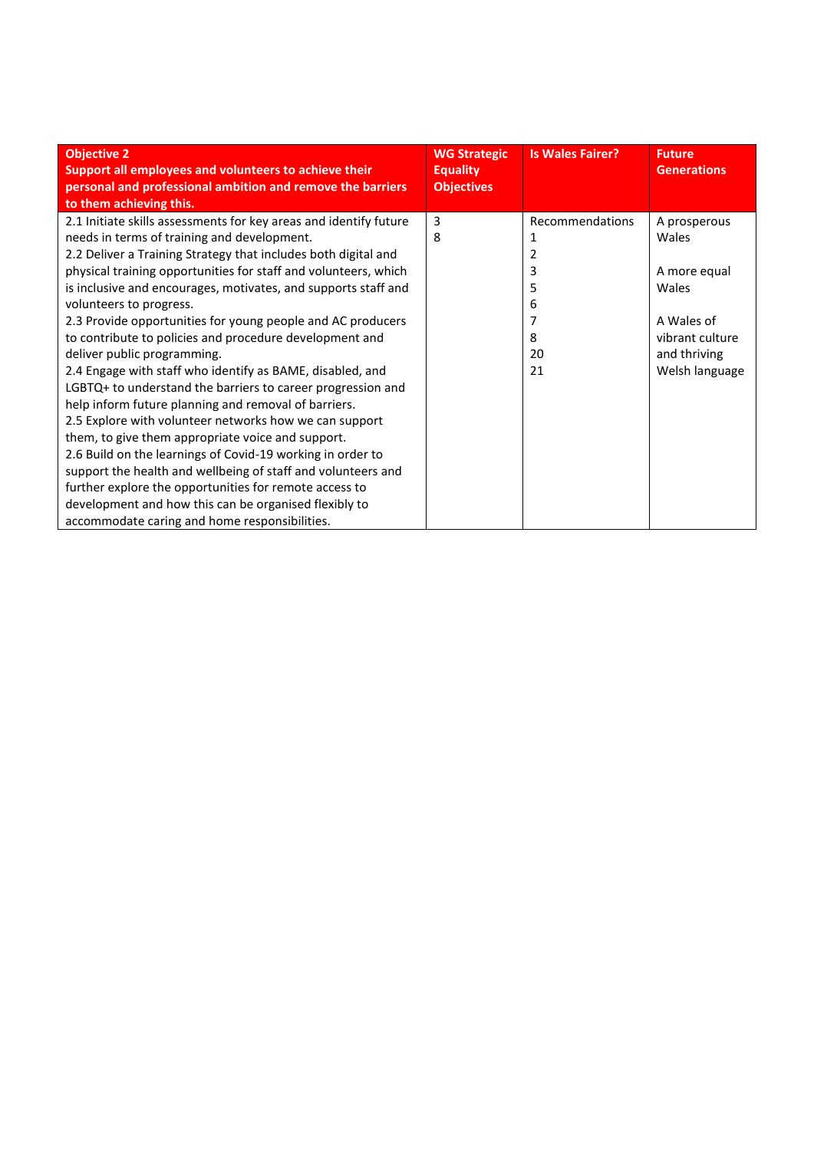| <b>Objective 2</b>                                                                                                  | <b>WG Strategic</b>                  | <b>Is Wales Fairer?</b> | <b>Future</b>      |
|---------------------------------------------------------------------------------------------------------------------|--------------------------------------|-------------------------|--------------------|
| Support all employees and volunteers to achieve their<br>personal and professional ambition and remove the barriers | <b>Equality</b><br><b>Objectives</b> |                         | <b>Generations</b> |
| to them achieving this.                                                                                             |                                      |                         |                    |
| 2.1 Initiate skills assessments for key areas and identify future                                                   | 3                                    | Recommendations         | A prosperous       |
| needs in terms of training and development.                                                                         | 8                                    |                         | Wales              |
| 2.2 Deliver a Training Strategy that includes both digital and                                                      |                                      | 2                       |                    |
| physical training opportunities for staff and volunteers, which                                                     |                                      | 3                       | A more equal       |
| is inclusive and encourages, motivates, and supports staff and                                                      |                                      | 5                       | Wales              |
| volunteers to progress.                                                                                             |                                      | 6                       |                    |
| 2.3 Provide opportunities for young people and AC producers                                                         |                                      |                         | A Wales of         |
| to contribute to policies and procedure development and                                                             |                                      | 8                       | vibrant culture    |
| deliver public programming.                                                                                         |                                      | 20                      | and thriving       |
| 2.4 Engage with staff who identify as BAME, disabled, and                                                           |                                      | 21                      | Welsh language     |
| LGBTQ+ to understand the barriers to career progression and                                                         |                                      |                         |                    |
| help inform future planning and removal of barriers.                                                                |                                      |                         |                    |
| 2.5 Explore with volunteer networks how we can support                                                              |                                      |                         |                    |
| them, to give them appropriate voice and support.                                                                   |                                      |                         |                    |
| 2.6 Build on the learnings of Covid-19 working in order to                                                          |                                      |                         |                    |
| support the health and wellbeing of staff and volunteers and                                                        |                                      |                         |                    |
| further explore the opportunities for remote access to                                                              |                                      |                         |                    |
| development and how this can be organised flexibly to                                                               |                                      |                         |                    |
| accommodate caring and home responsibilities.                                                                       |                                      |                         |                    |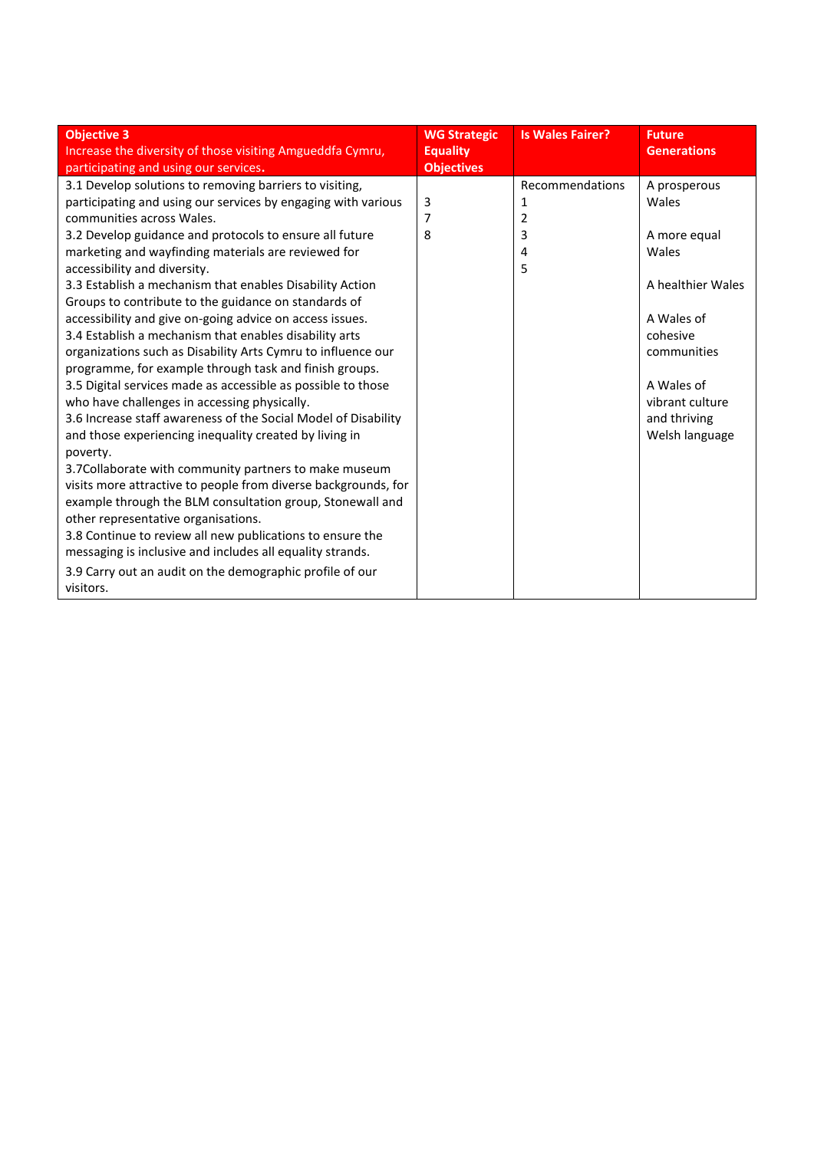| <b>Objectives</b><br>participating and using our services.<br>3.1 Develop solutions to removing barriers to visiting,<br>participating and using our services by engaging with various<br>3<br>1<br>communities across Wales.<br>$\overline{2}$<br>7<br>3<br>3.2 Develop guidance and protocols to ensure all future<br>8                                                                                                                                                                                                                                                                                                                                                                                                                                                                                                                                                                                                                                                                                                                                                                                                                                    | Recommendations | A prosperous<br>Wales                                                                                                                                  |
|--------------------------------------------------------------------------------------------------------------------------------------------------------------------------------------------------------------------------------------------------------------------------------------------------------------------------------------------------------------------------------------------------------------------------------------------------------------------------------------------------------------------------------------------------------------------------------------------------------------------------------------------------------------------------------------------------------------------------------------------------------------------------------------------------------------------------------------------------------------------------------------------------------------------------------------------------------------------------------------------------------------------------------------------------------------------------------------------------------------------------------------------------------------|-----------------|--------------------------------------------------------------------------------------------------------------------------------------------------------|
| marketing and wayfinding materials are reviewed for<br>4<br>5<br>accessibility and diversity.<br>3.3 Establish a mechanism that enables Disability Action<br>Groups to contribute to the guidance on standards of<br>accessibility and give on-going advice on access issues.<br>3.4 Establish a mechanism that enables disability arts<br>organizations such as Disability Arts Cymru to influence our<br>programme, for example through task and finish groups.<br>3.5 Digital services made as accessible as possible to those<br>who have challenges in accessing physically.<br>3.6 Increase staff awareness of the Social Model of Disability<br>and those experiencing inequality created by living in<br>poverty.<br>3.7 Collaborate with community partners to make museum<br>visits more attractive to people from diverse backgrounds, for<br>example through the BLM consultation group, Stonewall and<br>other representative organisations.<br>3.8 Continue to review all new publications to ensure the<br>messaging is inclusive and includes all equality strands.<br>3.9 Carry out an audit on the demographic profile of our<br>visitors. |                 | A more equal<br>Wales<br>A healthier Wales<br>A Wales of<br>cohesive<br>communities<br>A Wales of<br>vibrant culture<br>and thriving<br>Welsh language |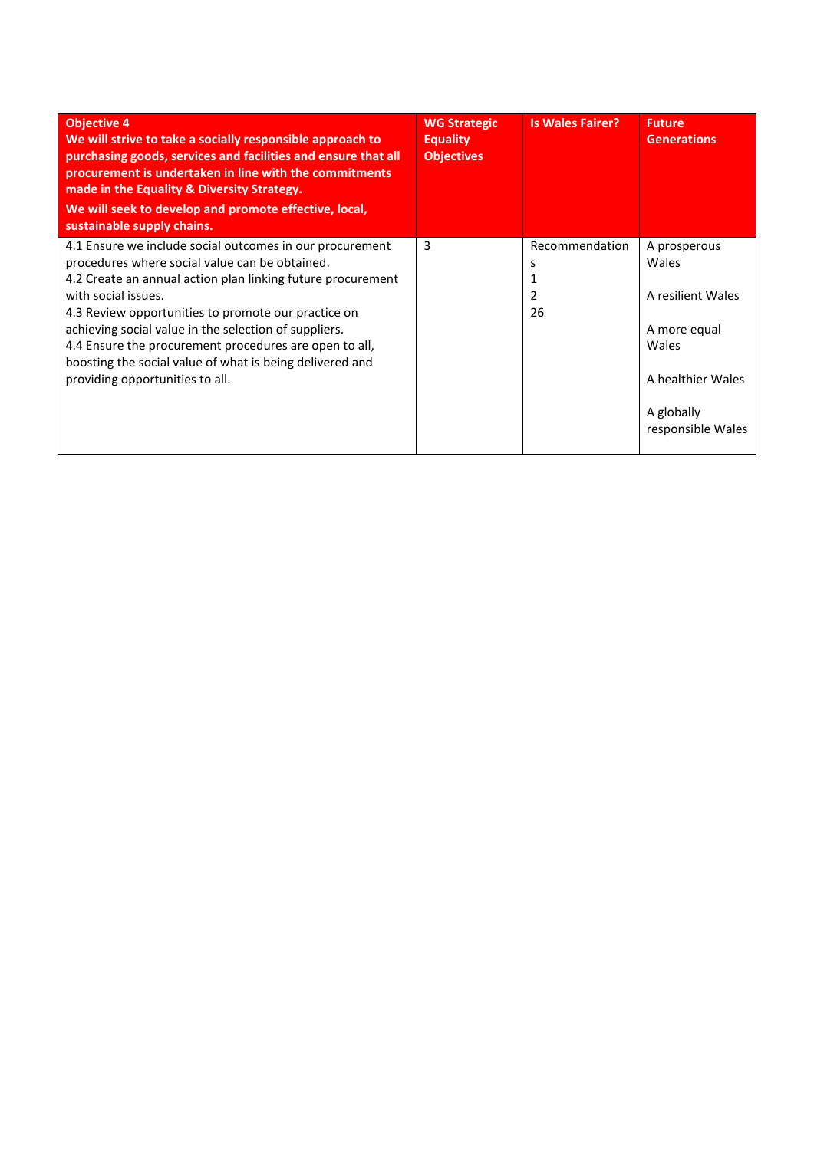| <b>Objective 4</b><br>We will strive to take a socially responsible approach to<br>purchasing goods, services and facilities and ensure that all<br>procurement is undertaken in line with the commitments<br>made in the Equality & Diversity Strategy.<br>We will seek to develop and promote effective, local,<br>sustainable supply chains.                                                                                                                           | <b>WG Strategic</b><br><b>Equality</b><br><b>Objectives</b> | <b>Is Wales Fairer?</b>        | <b>Future</b><br><b>Generations</b>                                                                                         |
|---------------------------------------------------------------------------------------------------------------------------------------------------------------------------------------------------------------------------------------------------------------------------------------------------------------------------------------------------------------------------------------------------------------------------------------------------------------------------|-------------------------------------------------------------|--------------------------------|-----------------------------------------------------------------------------------------------------------------------------|
| 4.1 Ensure we include social outcomes in our procurement<br>procedures where social value can be obtained.<br>4.2 Create an annual action plan linking future procurement<br>with social issues.<br>4.3 Review opportunities to promote our practice on<br>achieving social value in the selection of suppliers.<br>4.4 Ensure the procurement procedures are open to all,<br>boosting the social value of what is being delivered and<br>providing opportunities to all. | 3                                                           | Recommendation<br>s<br>2<br>26 | A prosperous<br>Wales<br>A resilient Wales<br>A more equal<br>Wales<br>A healthier Wales<br>A globally<br>responsible Wales |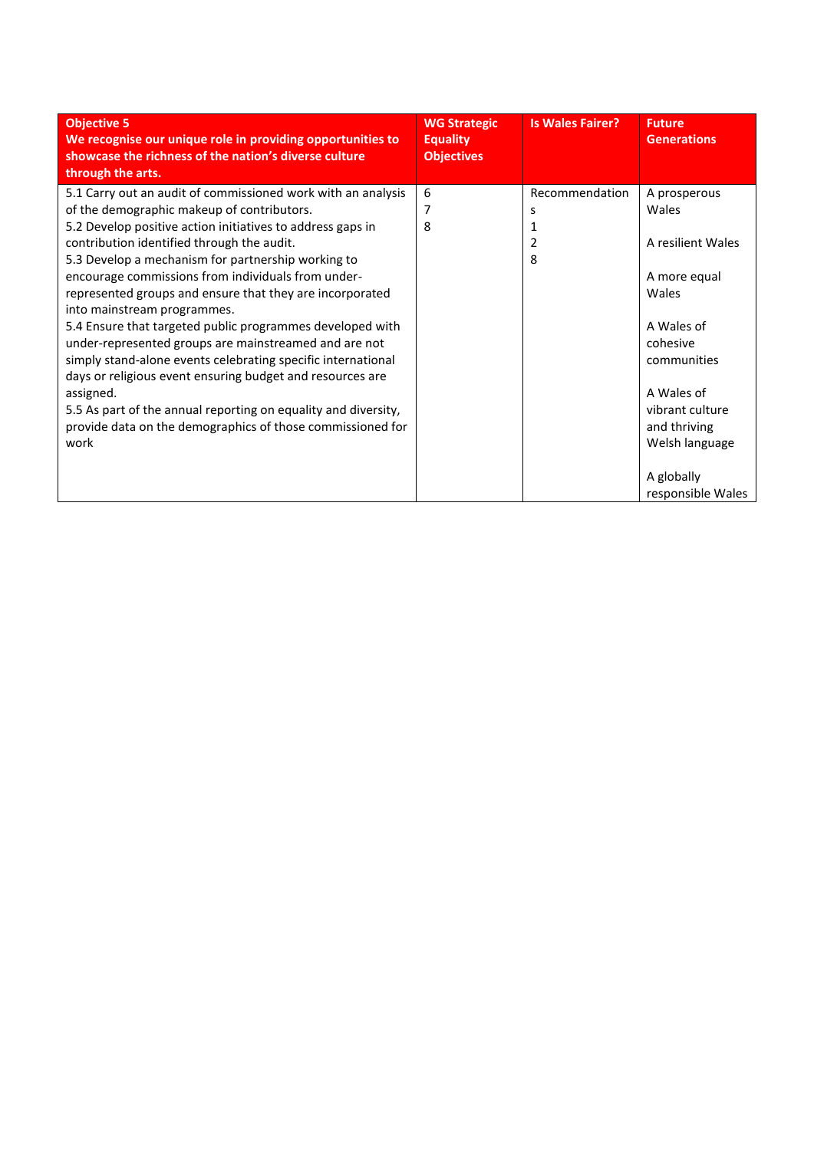| <b>Objective 5</b><br>We recognise our unique role in providing opportunities to<br>showcase the richness of the nation's diverse culture<br>through the arts.                                                                                                                                                                                                                                                                                                                                                                                                                                                                                                                                                                                                                                                                        | <b>WG Strategic</b><br><b>Equality</b><br><b>Objectives</b> | <b>Is Wales Fairer?</b>            | <b>Future</b><br><b>Generations</b>                                                                                                                                                           |
|---------------------------------------------------------------------------------------------------------------------------------------------------------------------------------------------------------------------------------------------------------------------------------------------------------------------------------------------------------------------------------------------------------------------------------------------------------------------------------------------------------------------------------------------------------------------------------------------------------------------------------------------------------------------------------------------------------------------------------------------------------------------------------------------------------------------------------------|-------------------------------------------------------------|------------------------------------|-----------------------------------------------------------------------------------------------------------------------------------------------------------------------------------------------|
| 5.1 Carry out an audit of commissioned work with an analysis<br>of the demographic makeup of contributors.<br>5.2 Develop positive action initiatives to address gaps in<br>contribution identified through the audit.<br>5.3 Develop a mechanism for partnership working to<br>encourage commissions from individuals from under-<br>represented groups and ensure that they are incorporated<br>into mainstream programmes.<br>5.4 Ensure that targeted public programmes developed with<br>under-represented groups are mainstreamed and are not<br>simply stand-alone events celebrating specific international<br>days or religious event ensuring budget and resources are<br>assigned.<br>5.5 As part of the annual reporting on equality and diversity,<br>provide data on the demographics of those commissioned for<br>work | 6<br>7<br>8                                                 | Recommendation<br>s<br>1<br>2<br>8 | A prosperous<br>Wales<br>A resilient Wales<br>A more equal<br>Wales<br>A Wales of<br>cohesive<br>communities<br>A Wales of<br>vibrant culture<br>and thriving<br>Welsh language<br>A globally |
|                                                                                                                                                                                                                                                                                                                                                                                                                                                                                                                                                                                                                                                                                                                                                                                                                                       |                                                             |                                    | responsible Wales                                                                                                                                                                             |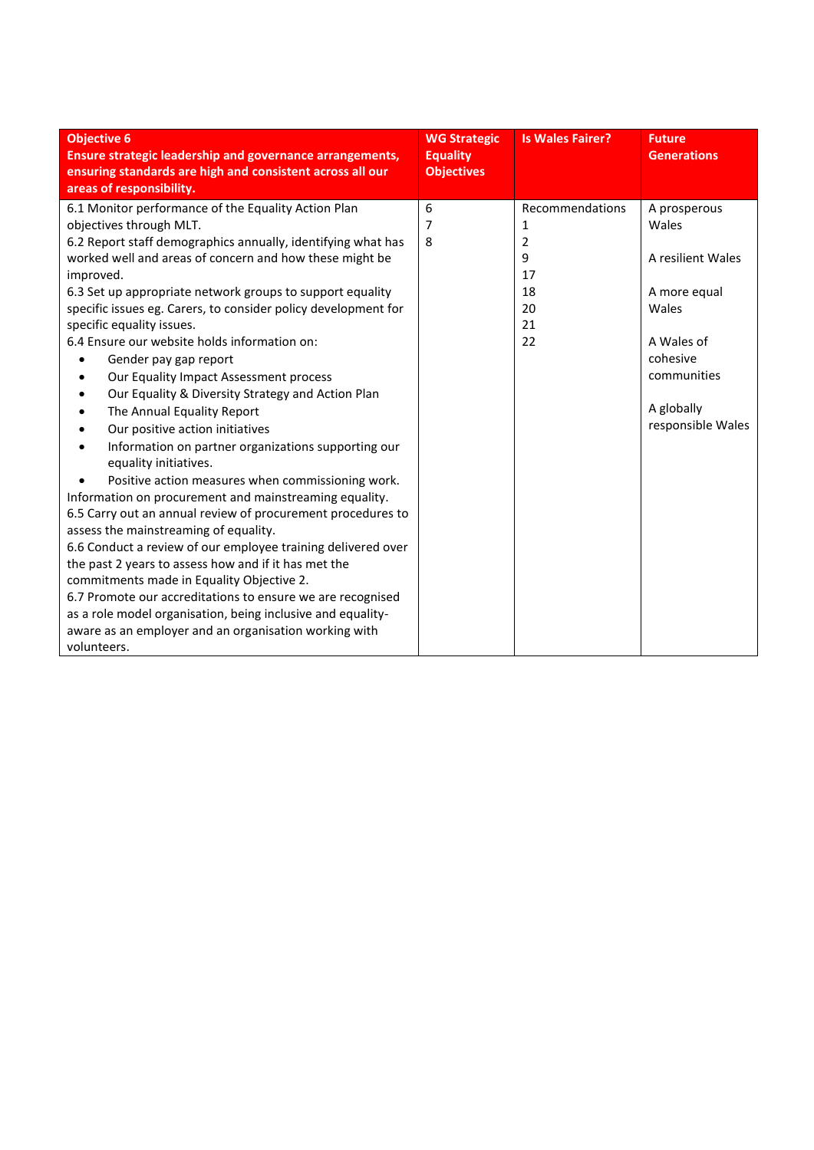| <b>Objective 6</b><br><b>Ensure strategic leadership and governance arrangements,</b><br>ensuring standards are high and consistent across all our<br>areas of responsibility.                                                                                                                                                                                                                                                                                                                                                                                                                                                                                                                                                                                                                                                                                                                                                                                                                                                                                                                                                                                                                                                                                                                | <b>WG Strategic</b><br><b>Equality</b><br><b>Objectives</b> | <b>Is Wales Fairer?</b>                                                   | <b>Future</b><br><b>Generations</b>                                                                                                             |
|-----------------------------------------------------------------------------------------------------------------------------------------------------------------------------------------------------------------------------------------------------------------------------------------------------------------------------------------------------------------------------------------------------------------------------------------------------------------------------------------------------------------------------------------------------------------------------------------------------------------------------------------------------------------------------------------------------------------------------------------------------------------------------------------------------------------------------------------------------------------------------------------------------------------------------------------------------------------------------------------------------------------------------------------------------------------------------------------------------------------------------------------------------------------------------------------------------------------------------------------------------------------------------------------------|-------------------------------------------------------------|---------------------------------------------------------------------------|-------------------------------------------------------------------------------------------------------------------------------------------------|
| 6.1 Monitor performance of the Equality Action Plan<br>objectives through MLT.<br>6.2 Report staff demographics annually, identifying what has<br>worked well and areas of concern and how these might be<br>improved.<br>6.3 Set up appropriate network groups to support equality<br>specific issues eg. Carers, to consider policy development for<br>specific equality issues.<br>6.4 Ensure our website holds information on:<br>Gender pay gap report<br>Our Equality Impact Assessment process<br>Our Equality & Diversity Strategy and Action Plan<br>The Annual Equality Report<br>Our positive action initiatives<br>Information on partner organizations supporting our<br>equality initiatives.<br>Positive action measures when commissioning work.<br>Information on procurement and mainstreaming equality.<br>6.5 Carry out an annual review of procurement procedures to<br>assess the mainstreaming of equality.<br>6.6 Conduct a review of our employee training delivered over<br>the past 2 years to assess how and if it has met the<br>commitments made in Equality Objective 2.<br>6.7 Promote our accreditations to ensure we are recognised<br>as a role model organisation, being inclusive and equality-<br>aware as an employer and an organisation working with | 6<br>7<br>8                                                 | Recommendations<br>1<br>$\overline{2}$<br>9<br>17<br>18<br>20<br>21<br>22 | A prosperous<br>Wales<br>A resilient Wales<br>A more equal<br>Wales<br>A Wales of<br>cohesive<br>communities<br>A globally<br>responsible Wales |
| volunteers.                                                                                                                                                                                                                                                                                                                                                                                                                                                                                                                                                                                                                                                                                                                                                                                                                                                                                                                                                                                                                                                                                                                                                                                                                                                                                   |                                                             |                                                                           |                                                                                                                                                 |